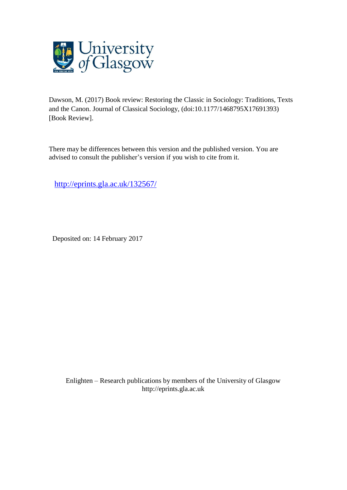

Dawson, M. (2017) Book review: Restoring the Classic in Sociology: Traditions, Texts and the Canon. Journal of Classical Sociology, (doi:10.1177/1468795X17691393) [Book Review].

There may be differences between this version and the published version. You are advised to consult the publisher's version if you wish to cite from it.

<http://eprints.gla.ac.uk/132567/>

Deposited on: 14 February 2017

Enlighten – Research publications by members of the University of Glasgo[w](http://eprints.gla.ac.uk/) [http://eprints.gla.ac.uk](http://eprints.gla.ac.uk/)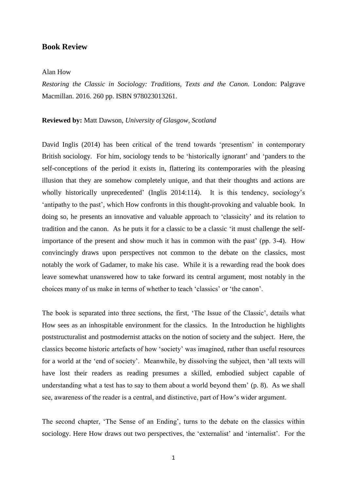## **Book Review**

## Alan How

*Restoring the Classic in Sociology: Traditions, Texts and the Canon.* London: Palgrave Macmillan. 2016. 260 pp. ISBN 978023013261.

## **Reviewed by:** Matt Dawson, *University of Glasgow, Scotland*

David Inglis (2014) has been critical of the trend towards 'presentism' in contemporary British sociology. For him, sociology tends to be 'historically ignorant' and 'panders to the self-conceptions of the period it exists in, flattering its contemporaries with the pleasing illusion that they are somehow completely unique, and that their thoughts and actions are wholly historically unprecedented' (Inglis 2014:114). It is this tendency, sociology's 'antipathy to the past', which How confronts in this thought-provoking and valuable book. In doing so, he presents an innovative and valuable approach to 'classicity' and its relation to tradition and the canon. As he puts it for a classic to be a classic 'it must challenge the selfimportance of the present and show much it has in common with the past' (pp. 3-4). How convincingly draws upon perspectives not common to the debate on the classics, most notably the work of Gadamer, to make his case. While it is a rewarding read the book does leave somewhat unanswered how to take forward its central argument, most notably in the choices many of us make in terms of whether to teach 'classics' or 'the canon'.

The book is separated into three sections, the first, 'The Issue of the Classic', details what How sees as an inhospitable environment for the classics. In the Introduction he highlights poststructuralist and postmodernist attacks on the notion of society and the subject. Here, the classics become historic artefacts of how 'society' was imagined, rather than useful resources for a world at the 'end of society'. Meanwhile, by dissolving the subject, then 'all texts will have lost their readers as reading presumes a skilled, embodied subject capable of understanding what a test has to say to them about a world beyond them' (p. 8). As we shall see, awareness of the reader is a central, and distinctive, part of How's wider argument.

The second chapter, 'The Sense of an Ending', turns to the debate on the classics within sociology. Here How draws out two perspectives, the 'externalist' and 'internalist'. For the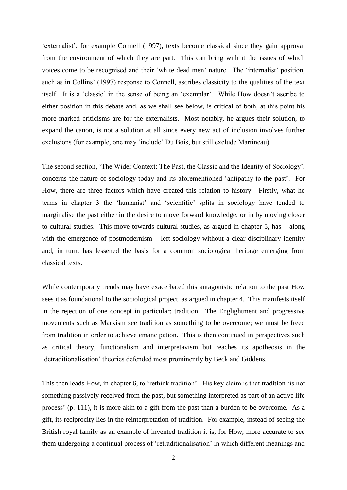'externalist', for example Connell (1997), texts become classical since they gain approval from the environment of which they are part. This can bring with it the issues of which voices come to be recognised and their 'white dead men' nature. The 'internalist' position, such as in Collins' (1997) response to Connell, ascribes classicity to the qualities of the text itself. It is a 'classic' in the sense of being an 'exemplar'. While How doesn't ascribe to either position in this debate and, as we shall see below, is critical of both, at this point his more marked criticisms are for the externalists. Most notably, he argues their solution, to expand the canon, is not a solution at all since every new act of inclusion involves further exclusions (for example, one may 'include' Du Bois, but still exclude Martineau).

The second section, 'The Wider Context: The Past, the Classic and the Identity of Sociology', concerns the nature of sociology today and its aforementioned 'antipathy to the past'. For How, there are three factors which have created this relation to history. Firstly, what he terms in chapter 3 the 'humanist' and 'scientific' splits in sociology have tended to marginalise the past either in the desire to move forward knowledge, or in by moving closer to cultural studies. This move towards cultural studies, as argued in chapter 5, has – along with the emergence of postmodernism – left sociology without a clear disciplinary identity and, in turn, has lessened the basis for a common sociological heritage emerging from classical texts.

While contemporary trends may have exacerbated this antagonistic relation to the past How sees it as foundational to the sociological project, as argued in chapter 4. This manifests itself in the rejection of one concept in particular: tradition. The Englightment and progressive movements such as Marxism see tradition as something to be overcome; we must be freed from tradition in order to achieve emancipation. This is then continued in perspectives such as critical theory, functionalism and interpretavism but reaches its apotheosis in the 'detraditionalisation' theories defended most prominently by Beck and Giddens.

This then leads How, in chapter 6, to 'rethink tradition'. His key claim is that tradition 'is not something passively received from the past, but something interpreted as part of an active life process' (p. 111), it is more akin to a gift from the past than a burden to be overcome. As a gift, its reciprocity lies in the reinterpretation of tradition. For example, instead of seeing the British royal family as an example of invented tradition it is, for How, more accurate to see them undergoing a continual process of 'retraditionalisation' in which different meanings and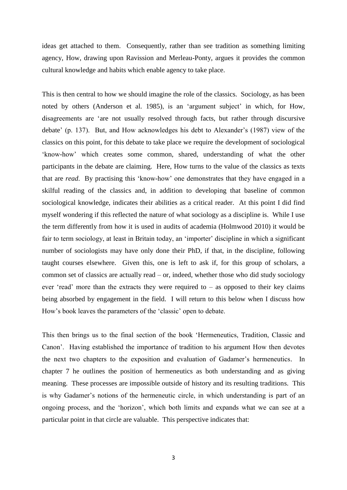ideas get attached to them. Consequently, rather than see tradition as something limiting agency, How, drawing upon Ravission and Merleau-Ponty, argues it provides the common cultural knowledge and habits which enable agency to take place.

This is then central to how we should imagine the role of the classics. Sociology, as has been noted by others (Anderson et al. 1985), is an 'argument subject' in which, for How, disagreements are 'are not usually resolved through facts, but rather through discursive debate' (p. 137). But, and How acknowledges his debt to Alexander's (1987) view of the classics on this point, for this debate to take place we require the development of sociological 'know-how' which creates some common, shared, understanding of what the other participants in the debate are claiming. Here, How turns to the value of the classics as texts that are *read*. By practising this 'know-how' one demonstrates that they have engaged in a skilful reading of the classics and, in addition to developing that baseline of common sociological knowledge, indicates their abilities as a critical reader. At this point I did find myself wondering if this reflected the nature of what sociology as a discipline is. While I use the term differently from how it is used in audits of academia (Holmwood 2010) it would be fair to term sociology, at least in Britain today, an 'importer' discipline in which a significant number of sociologists may have only done their PhD, if that, in the discipline, following taught courses elsewhere. Given this, one is left to ask if, for this group of scholars, a common set of classics are actually read – or, indeed, whether those who did study sociology ever 'read' more than the extracts they were required to – as opposed to their key claims being absorbed by engagement in the field. I will return to this below when I discuss how How's book leaves the parameters of the 'classic' open to debate.

This then brings us to the final section of the book 'Hermeneutics, Tradition, Classic and Canon'. Having established the importance of tradition to his argument How then devotes the next two chapters to the exposition and evaluation of Gadamer's hermeneutics. In chapter 7 he outlines the position of hermeneutics as both understanding and as giving meaning. These processes are impossible outside of history and its resulting traditions. This is why Gadamer's notions of the hermeneutic circle, in which understanding is part of an ongoing process, and the 'horizon', which both limits and expands what we can see at a particular point in that circle are valuable. This perspective indicates that: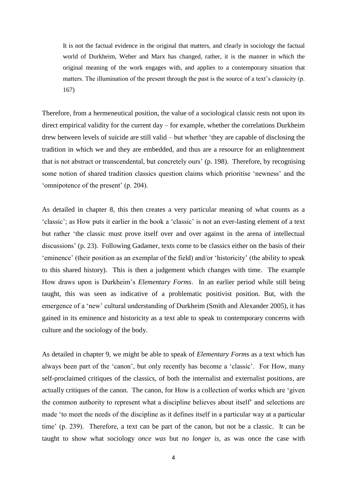It is not the factual evidence in the original that matters, and clearly in sociology the factual world of Durkheim, Weber and Marx has changed, rather, it is the manner in which the original meaning of the work engages with, and applies to a contemporary situation that matters. The illumination of the present through the past is the source of a text's classicity (p. 167)

Therefore, from a hermeneutical position, the value of a sociological classic rests not upon its direct empirical validity for the current day – for example, whether the correlations Durkheim drew between levels of suicide are still valid – but whether 'they are capable of disclosing the tradition in which we and they are embedded, and thus are a resource for an enlightenment that is not abstract or transcendental, but concretely ours' (p. 198). Therefore, by recognising some notion of shared tradition classics question claims which prioritise 'newness' and the 'omnipotence of the present' (p. 204).

As detailed in chapter 8, this then creates a very particular meaning of what counts as a 'classic'; as How puts it earlier in the book a 'classic' is not an ever-lasting element of a text but rather 'the classic must prove itself over and over against in the arena of intellectual discussions' (p. 23). Following Gadamer, texts come to be classics either on the basis of their 'eminence' (their position as an exemplar of the field) and/or 'historicity' (the ability to speak to this shared history). This is then a judgement which changes with time. The example How draws upon is Durkheim's *Elementary Forms*. In an earlier period while still being taught, this was seen as indicative of a problematic positivist position. But, with the emergence of a 'new' cultural understanding of Durkheim (Smith and Alexander 2005), it has gained in its eminence and historicity as a text able to speak to contemporary concerns with culture and the sociology of the body.

As detailed in chapter 9, we might be able to speak of *Elementary Forms* as a text which has always been part of the 'canon', but only recently has become a 'classic'. For How, many self-proclaimed critiques of the classics, of both the internalist and externalist positions, are actually critiques of the canon. The canon, for How is a collection of works which are 'given the common authority to represent what a discipline believes about itself' and selections are made 'to meet the needs of the discipline as it defines itself in a particular way at a particular time' (p. 239). Therefore, a text can be part of the canon, but not be a classic. It can be taught to show what sociology *once was* but *no longer is*, as was once the case with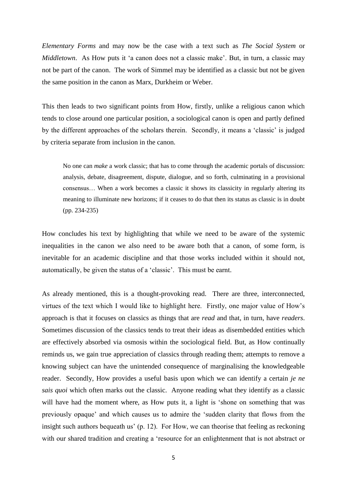*Elementary Forms* and may now be the case with a text such as *The Social System* or *Middletown*. As How puts it 'a canon does not a classic make'. But, in turn, a classic may not be part of the canon. The work of Simmel may be identified as a classic but not be given the same position in the canon as Marx, Durkheim or Weber.

This then leads to two significant points from How, firstly, unlike a religious canon which tends to close around one particular position, a sociological canon is open and partly defined by the different approaches of the scholars therein. Secondly, it means a 'classic' is judged by criteria separate from inclusion in the canon.

No one can *make* a work classic; that has to come through the academic portals of discussion: analysis, debate, disagreement, dispute, dialogue, and so forth, culminating in a provisional consensus… When a work becomes a classic it shows its classicity in regularly altering its meaning to illuminate new horizons; if it ceases to do that then its status as classic is in doubt (pp. 234-235)

How concludes his text by highlighting that while we need to be aware of the systemic inequalities in the canon we also need to be aware both that a canon, of some form, is inevitable for an academic discipline and that those works included within it should not, automatically, be given the status of a 'classic'. This must be earnt.

As already mentioned, this is a thought-provoking read. There are three, interconnected, virtues of the text which I would like to highlight here. Firstly, one major value of How's approach is that it focuses on classics as things that are *read* and that, in turn, have *readers*. Sometimes discussion of the classics tends to treat their ideas as disembedded entities which are effectively absorbed via osmosis within the sociological field. But, as How continually reminds us, we gain true appreciation of classics through reading them; attempts to remove a knowing subject can have the unintended consequence of marginalising the knowledgeable reader. Secondly, How provides a useful basis upon which we can identify a certain *je ne sais quoi* which often marks out the classic. Anyone reading what they identify as a classic will have had the moment where, as How puts it, a light is 'shone on something that was previously opaque' and which causes us to admire the 'sudden clarity that flows from the insight such authors bequeath us' (p. 12). For How, we can theorise that feeling as reckoning with our shared tradition and creating a 'resource for an enlightenment that is not abstract or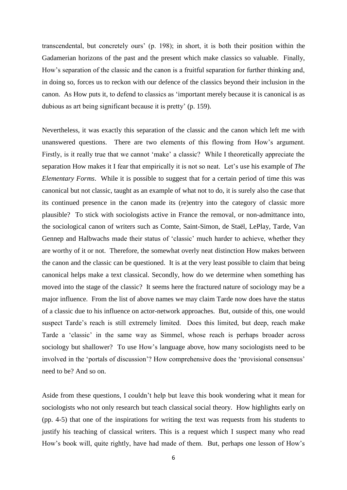transcendental, but concretely ours' (p. 198); in short, it is both their position within the Gadamerian horizons of the past and the present which make classics so valuable. Finally, How's separation of the classic and the canon is a fruitful separation for further thinking and, in doing so, forces us to reckon with our defence of the classics beyond their inclusion in the canon. As How puts it, to defend to classics as 'important merely because it is canonical is as dubious as art being significant because it is pretty' (p. 159).

Nevertheless, it was exactly this separation of the classic and the canon which left me with unanswered questions. There are two elements of this flowing from How's argument. Firstly, is it really true that we cannot 'make' a classic? While I theoretically appreciate the separation How makes it I fear that empirically it is not so neat. Let's use his example of *The Elementary Forms*. While it is possible to suggest that for a certain period of time this was canonical but not classic, taught as an example of what not to do, it is surely also the case that its continued presence in the canon made its (re)entry into the category of classic more plausible? To stick with sociologists active in France the removal, or non-admittance into, the sociological canon of writers such as Comte, Saint-Simon, de Staël, LePlay, Tarde, Van Gennep and Halbwachs made their status of 'classic' much harder to achieve, whether they are worthy of it or not. Therefore, the somewhat overly neat distinction How makes between the canon and the classic can be questioned. It is at the very least possible to claim that being canonical helps make a text classical. Secondly, how do we determine when something has moved into the stage of the classic? It seems here the fractured nature of sociology may be a major influence. From the list of above names we may claim Tarde now does have the status of a classic due to his influence on actor-network approaches. But, outside of this, one would suspect Tarde's reach is still extremely limited. Does this limited, but deep, reach make Tarde a 'classic' in the same way as Simmel, whose reach is perhaps broader across sociology but shallower? To use How's language above, how many sociologists need to be involved in the 'portals of discussion'? How comprehensive does the 'provisional consensus' need to be? And so on.

Aside from these questions, I couldn't help but leave this book wondering what it mean for sociologists who not only research but teach classical social theory. How highlights early on (pp. 4-5) that one of the inspirations for writing the text was requests from his students to justify his teaching of classical writers. This is a request which I suspect many who read How's book will, quite rightly, have had made of them. But, perhaps one lesson of How's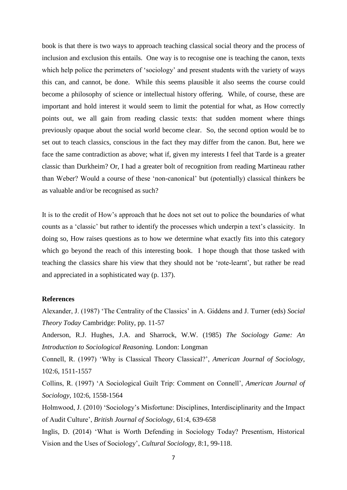book is that there is two ways to approach teaching classical social theory and the process of inclusion and exclusion this entails. One way is to recognise one is teaching the canon, texts which help police the perimeters of 'sociology' and present students with the variety of ways this can, and cannot, be done. While this seems plausible it also seems the course could become a philosophy of science or intellectual history offering. While, of course, these are important and hold interest it would seem to limit the potential for what, as How correctly points out, we all gain from reading classic texts: that sudden moment where things previously opaque about the social world become clear. So, the second option would be to set out to teach classics, conscious in the fact they may differ from the canon. But, here we face the same contradiction as above; what if, given my interests I feel that Tarde is a greater classic than Durkheim? Or, I had a greater bolt of recognition from reading Martineau rather than Weber? Would a course of these 'non-canonical' but (potentially) classical thinkers be as valuable and/or be recognised as such?

It is to the credit of How's approach that he does not set out to police the boundaries of what counts as a 'classic' but rather to identify the processes which underpin a text's classicity. In doing so, How raises questions as to how we determine what exactly fits into this category which go beyond the reach of this interesting book. I hope though that those tasked with teaching the classics share his view that they should not be 'rote-learnt', but rather be read and appreciated in a sophisticated way (p. 137).

## **References**

Alexander, J. (1987) 'The Centrality of the Classics' in A. Giddens and J. Turner (eds) *Social Theory Today* Cambridge: Polity, pp. 11-57

Anderson, R.J. Hughes, J.A. and Sharrock, W.W. (1985) *The Sociology Game: An Introduction to Sociological Reasoning.* London: Longman

Connell, R. (1997) 'Why is Classical Theory Classical?', *American Journal of Sociology*, 102:6, 1511-1557

Collins, R. (1997) 'A Sociological Guilt Trip: Comment on Connell', *American Journal of Sociology*, 102:6, 1558-1564

Holmwood, J. (2010) 'Sociology's Misfortune: Disciplines, Interdisciplinarity and the Impact of Audit Culture', *British Journal of Sociology,* 61:4, 639-658

Inglis, D. (2014) 'What is Worth Defending in Sociology Today? Presentism, Historical Vision and the Uses of Sociology', *Cultural Sociology*, 8:1, 99-118.